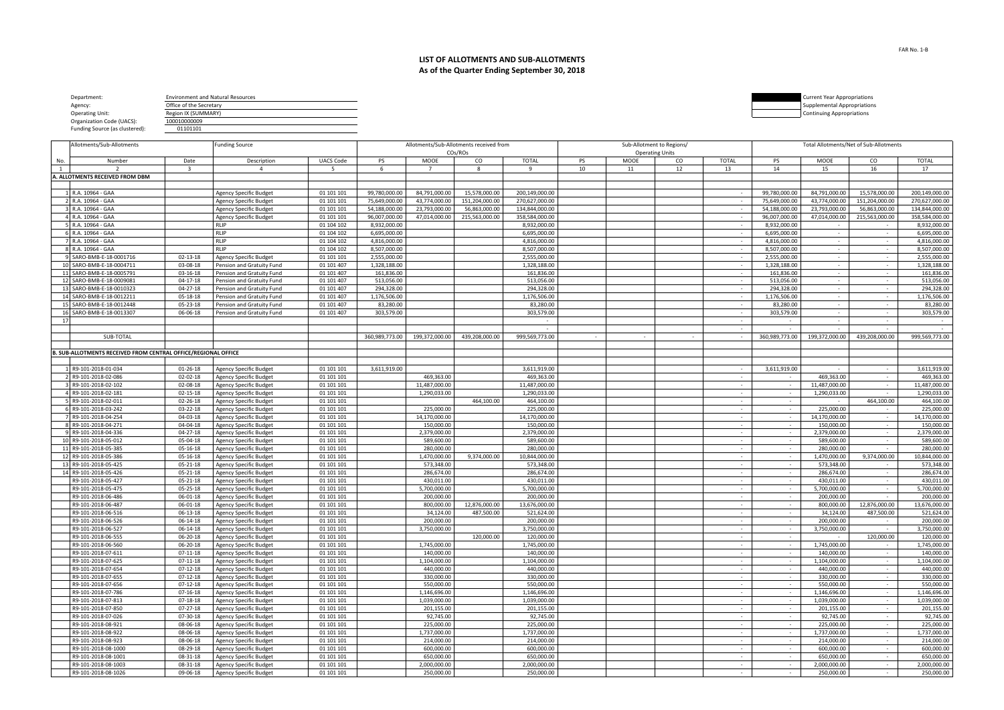| Department:                    | <b>Environment and Natural Resources</b> |  | <b>Current Year Appropriations</b> |
|--------------------------------|------------------------------------------|--|------------------------------------|
| Agency:                        | Office of the Secretary                  |  | Supplemental Appropriations        |
| <b>Operating Unit:</b>         | egion IX (SUMMARY)                       |  | <b>Continuing Appropriations</b>   |
| Organization Code (UACS):      | 100010000009                             |  |                                    |
| Funding Source (as clustered): | 01101101                                 |  |                                    |

|     | Allotments/Sub-Allotments                                      |                      | <b>Funding Source</b>                                   |                          |                |                            | Allotments/Sub-Allotments received from |                            |    |             | Sub-Allotment to Regions/ |              | Total Allotments/Net of Sub-Allotments |                            |                |                            |  |
|-----|----------------------------------------------------------------|----------------------|---------------------------------------------------------|--------------------------|----------------|----------------------------|-----------------------------------------|----------------------------|----|-------------|---------------------------|--------------|----------------------------------------|----------------------------|----------------|----------------------------|--|
|     |                                                                |                      |                                                         |                          |                |                            | COs/ROs                                 |                            |    |             | <b>Operating Units</b>    |              |                                        |                            |                |                            |  |
| No. | Number                                                         | Date                 | Description<br>$\overline{4}$                           | <b>UACS Code</b>         | PS             | MOOE<br>- 7                | CO                                      | <b>TOTAL</b><br>q          | PS | <b>MOOE</b> | CO                        | <b>TOTAL</b> | PS                                     | <b>MOOE</b>                | CO             | <b>TOTAL</b>               |  |
| 1   | $\overline{2}$                                                 | $\overline{3}$       |                                                         | 5                        | 6              |                            | 8                                       |                            | 10 | 11          | 12                        | 13           | 14                                     | 15                         | 16             | 17                         |  |
|     | A. ALLOTMENTS RECEIVED FROM DBM                                |                      |                                                         |                          |                |                            |                                         |                            |    |             |                           |              |                                        |                            |                |                            |  |
|     | 1 R.A. 10964 - GAA                                             |                      | <b>Agency Specific Budget</b>                           | 01 101 101               | 99,780,000.00  | 84,791,000.00              | 15.578.000.00                           | 200,149,000.00             |    |             |                           | $\sim$       | 99,780,000.00                          | 84.791.000.00              | 15,578,000.00  | 200,149,000.00             |  |
|     | R.A. 10964 - GAA                                               |                      | <b>Agency Specific Budget</b>                           | 01 101 101               | 75,649,000.00  | 43,774,000.00              | 151,204,000.00                          | 270,627,000.00             |    |             |                           | $\sim$       | 75,649,000.00                          | 43,774,000.00              | 151,204,000.00 | 270,627,000.00             |  |
|     | R.A. 10964 - GAA                                               |                      | Agency Specific Budget                                  | 01 101 101               | 54,188,000.00  | 23,793,000.00              | 56,863,000.00                           | 134,844,000.00             |    |             |                           | $\sim$       | 54,188,000.00                          | 23,793,000.00              | 56,863,000.00  | 134,844,000.00             |  |
|     | 4 R.A. 10964 - GAA                                             |                      | Agency Specific Budget                                  | 01 101 101               | 96,007,000.00  | 47,014,000.00              | 215,563,000.00                          | 358,584,000.00             |    |             |                           | $\sim$       | 96,007,000.00                          | 47,014,000.00              | 215,563,000.00 | 358,584,000.00             |  |
|     | R.A. 10964 - GAA                                               |                      | <b>RLIP</b>                                             | 01 104 102               | 8,932,000.00   |                            |                                         | 8,932,000.00               |    |             |                           | $\sim$ $-$   | 8,932,000.00                           | $\sim$                     | $\sim$         | 8,932,000.00               |  |
|     | 6 R.A. 10964 - GAA                                             |                      | <b>RLIP</b>                                             | 01 104 102               | 6,695,000.00   |                            |                                         | 6,695,000.00               |    |             |                           | $\sim$ $-$   | 6,695,000.00                           | $\sim$ $-$                 | $\sim 10^{-1}$ | 6,695,000.00               |  |
|     | R.A. 10964 - GAA                                               |                      | <b>RLIP</b>                                             | 01 104 102               | 4,816,000.00   |                            |                                         | 4,816,000.00               |    |             |                           | $\sim$       | 4,816,000.00                           | $\sim$                     | $\sim$         | 4,816,000.00               |  |
|     | 8 R.A. 10964 - GAA                                             |                      | <b>RLIP</b>                                             | 01 104 102               | 8,507,000.00   |                            |                                         | 8,507,000.00               |    |             |                           | $\sim$       | 8,507,000.00                           | $\sim$                     |                | 8,507,000.00               |  |
|     | SARO-BMB-E-18-0001716                                          | 02-13-18             | Agency Specific Budget                                  | 01 101 101               | 2,555,000.00   |                            |                                         | 2,555,000.00               |    |             |                           | $\sim$       | 2,555,000.00                           | $\sim$                     | $\sim$ $ \sim$ | 2,555,000.00               |  |
|     | 10 SARO-BMB-E-18-0004711                                       | 03-08-18             | Pension and Gratuity Fund                               | 01 101 407               | 1,328,188.00   |                            |                                         | 1,328,188.00               |    |             |                           | $\sim$       | 1,328,188.00                           | $\sim$                     | $\sim$ $ \sim$ | 1,328,188.00               |  |
|     | 11 SARO-BMB-E-18-0005791                                       | 03-16-18             | Pension and Gratuity Fund                               | 01 101 407               | 161,836.00     |                            |                                         | 161,836.00                 |    |             |                           | $\sim$ $-$   | 161,836.00                             | $\sim$                     | $\sim$ $-$     | 161,836.00                 |  |
|     | 12 SARO-BMB-E-18-0009081                                       | 04-17-18             | Pension and Gratuity Fund                               | 01 101 407               | 513,056.00     |                            |                                         | 513,056.00                 |    |             |                           | $\sim$       | 513,056.00                             | $\sim$                     | $\sim$         | 513,056.00                 |  |
|     | 13 SARO-BMB-E-18-0010323                                       | 04-27-18             | Pension and Gratuity Fund                               | 01 101 407               | 294,328.00     |                            |                                         | 294,328.00                 |    |             |                           | $\sim$       | 294,328.00                             | $\sim$                     | $\sim$         | 294,328.00                 |  |
|     | 14 SARO-BMB-E-18-0012211                                       | 05-18-18             | Pension and Gratuity Fund                               | 01 101 407               | 1,176,506.00   |                            |                                         | 1,176,506.00               |    |             |                           | $\sim$       | 1,176,506.00                           | $\sim$                     | $\sim$         | 1,176,506.00               |  |
|     | 15 SARO-BMB-E-18-0012448                                       | 05-23-18             | Pension and Gratuity Fund                               | 01 101 407               | 83,280.00      |                            |                                         | 83,280.00                  |    |             |                           | $\sim$       | 83,280.00                              | $\sim$                     | $\sim$         | 83,280.00                  |  |
|     | 16 SARO-BMB-E-18-0013307                                       | 06-06-18             | Pension and Gratuity Fund                               | 01 101 407               | 303,579.00     |                            |                                         | 303,579.00                 |    |             |                           | $\sim$       | 303,579.00                             | $\sim$                     | $\sim$         | 303,579.00                 |  |
| 17  |                                                                |                      |                                                         |                          |                |                            |                                         |                            |    |             |                           | $\sim$       |                                        |                            |                | $\sim$                     |  |
|     |                                                                |                      |                                                         |                          |                |                            |                                         | $\sim$                     |    |             |                           | $\sim$       |                                        |                            |                |                            |  |
|     | SUB-TOTAL                                                      |                      |                                                         |                          | 360,989,773.00 | 199,372,000.00             | 439,208,000.00                          | 999,569,773.00             |    | $\sim$      |                           |              | 360,989,773.00                         | 199,372,000.00             | 439,208,000.00 | 999,569,773.00             |  |
|     |                                                                |                      |                                                         |                          |                |                            |                                         |                            |    |             |                           |              |                                        |                            |                |                            |  |
|     | B. SUB-ALLOTMENTS RECEIVED FROM CENTRAL OFFICE/REGIONAL OFFICE |                      |                                                         |                          |                |                            |                                         |                            |    |             |                           |              |                                        |                            |                |                            |  |
|     |                                                                |                      |                                                         |                          |                |                            |                                         |                            |    |             |                           |              |                                        |                            |                |                            |  |
|     | 1 R9-101-2018-01-034                                           | $01 - 26 - 18$       | Agency Specific Budget                                  | 01 101 101               | 3,611,919.00   |                            |                                         | 3,611,919.00               |    |             |                           | $\sim$       | 3,611,919.00                           | $\sim$                     | $\sim$ $-$     | 3,611,919.00               |  |
|     | R9-101-2018-02-086                                             | 02-02-18             | <b>Agency Specific Budget</b>                           | 01 101 101               |                | 469,363.00                 |                                         | 469,363.00                 |    |             |                           |              |                                        | 469,363.00                 |                | 469,363.00                 |  |
|     | R9-101-2018-02-102                                             | 02-08-18             | <b>Agency Specific Budget</b>                           | 01 101 101               |                | 11,487,000.00              |                                         | 11,487,000.00              |    |             |                           | $\sim$       | $\sim$                                 | 11,487,000.00              | $\sim$         | 11,487,000.00              |  |
|     | R9-101-2018-02-181                                             | 02-15-18             | <b>Agency Specific Budget</b>                           | 01 101 101               |                | 1,290,033.00               |                                         | 1,290,033.00               |    |             |                           | $\sim$       | $\sim$                                 | 1,290,033.00               |                | 1,290,033.00               |  |
|     | R9-101-2018-02-011                                             | 02-26-18             | <b>Agency Specific Budget</b>                           | 01 101 101               |                |                            | 464,100.00                              | 464,100.00                 |    |             |                           | $\sim$ $-$   | $\sim$                                 |                            | 464,100.00     | 464,100.00                 |  |
|     | 6 R9-101-2018-03-242                                           | 03-22-18             | Agency Specific Budget                                  | 01 101 101               |                | 225,000.00                 |                                         | 225,000.00                 |    |             |                           | $\sim$       | $\sim$                                 | 225,000.00                 | $\sim$         | 225,000.00                 |  |
|     | R9-101-2018-04-254                                             | 04-03-18             | Agency Specific Budget                                  | 01 101 101               |                | 14,170,000.00              |                                         | 14,170,000.00              |    |             |                           | $\sim$       | $\sim$                                 | 14,170,000.00              | $\sim$ $-$     | 14,170,000.00              |  |
|     | 8 R9-101-2018-04-271                                           | 04-04-18             | <b>Agency Specific Budget</b>                           | 01 101 101               |                | 150,000.00                 |                                         | 150,000.00                 |    |             |                           | $\sim$       | $\sim$                                 | 150,000.00                 | $\sim$         | 150,000.00                 |  |
|     | 9 R9-101-2018-04-336                                           | 04-27-18             | <b>Agency Specific Budget</b>                           | 01 101 101               |                | 2,379,000.00               |                                         | 2,379,000.00               |    |             |                           | $\sim$       | $\sim$                                 | 2,379,000.00               | $\sim$         | 2,379,000.00               |  |
|     | 10 R9-101-2018-05-012                                          | 05-04-18             | <b>Agency Specific Budget</b>                           | 01 101 101               |                | 589,600.00                 |                                         | 589,600.00                 |    |             |                           | $\sim$       | $\sim$                                 | 589,600.00                 | $\sim$ $-$     | 589,600.00                 |  |
|     | 11 R9-101-2018-05-385                                          | 05-16-18             | <b>Agency Specific Budget</b>                           | 01 101 101               |                | 280,000.00                 |                                         | 280,000.00                 |    |             |                           | $\sim$       | $\sim$                                 | 280,000.00                 |                | 280,000.00                 |  |
|     | 12 R9-101-2018-05-386                                          | 05-16-18             | Agency Specific Budget                                  | 01 101 101               |                | 1,470,000.00               | 9,374,000.00                            | 10,844,000.00              |    |             |                           | $\sim$       | $\sim$                                 | 1,470,000.00               | 9,374,000.00   | 10,844,000.00              |  |
|     | 13 R9-101-2018-05-425                                          | 05-21-18             | Agency Specific Budget                                  | 01 101 101               |                | 573,348.00                 |                                         | 573,348.00                 |    |             |                           | $\sim$       | $\sim$                                 | 573,348.00                 | $\sim$ $-$     | 573,348.00                 |  |
|     | 14 R9-101-2018-05-426                                          | 05-21-18             | Agency Specific Budget                                  | 01 101 101               |                | 286,674.00                 |                                         | 286,674.00                 |    |             |                           | $\sim$ $-$   | $\sim$                                 | 286,674.00                 | $\sim$         | 286,674.00                 |  |
|     | R9-101-2018-05-427                                             | 05-21-18             | Agency Specific Budget                                  | 01 101 101               |                | 430,011.00                 |                                         | 430,011.00                 |    |             |                           | $\sim$ $-$   | $\sim$                                 | 430,011.00                 | $\sim$ $-$     | 430,011.00                 |  |
|     | R9-101-2018-05-475                                             | 05-25-18             | <b>Agency Specific Budget</b>                           | 01 101 101               |                | 5,700,000.00               |                                         | 5,700,000.00               |    |             |                           | $\sim$       | $\sim$                                 | 5,700,000.00               | $\sim$         | 5,700,000.00               |  |
|     | R9-101-2018-06-486                                             | 06-01-18             | <b>Agency Specific Budget</b>                           | 01 101 101               |                | 200,000.00                 |                                         | 200,000.00                 |    |             |                           | $\sim$       | $\sim$                                 | 200,000.00                 |                | 200,000.00                 |  |
|     | R9-101-2018-06-487                                             | 06-01-18             | <b>Agency Specific Budget</b>                           | 01 101 101               |                | 800,000.00                 | 12,876,000.00                           | 13,676,000.00              |    |             |                           | $\sim$       | $\sim$                                 | 800,000.00                 | 12,876,000.00  | 13,676,000.00              |  |
|     | R9-101-2018-06-516                                             | 06-13-18             | <b>Agency Specific Budget</b>                           | 01 101 101               |                | 34,124.00                  | 487,500.00                              | 521,624.00                 |    |             |                           | $\sim$       | $\sim$                                 | 34,124.00                  | 487,500.00     | 521,624.00                 |  |
|     | R9-101-2018-06-526                                             | 06-14-18             | Agency Specific Budget                                  | 01 101 101               |                | 200,000.00<br>3,750,000.00 |                                         | 200,000.00<br>3,750,000.00 |    |             |                           | $\sim$ $-$   |                                        | 200,000.00<br>3,750,000.00 |                | 200,000.00<br>3,750,000.00 |  |
|     | R9-101-2018-06-527<br>R9-101-2018-06-555                       | 06-14-18<br>06-20-18 | <b>Agency Specific Budget</b><br>Agency Specific Budget | 01 101 101<br>01 101 101 |                |                            | 120,000.00                              | 120,000.00                 |    |             |                           | $\sim$       | $\sim$<br>$\sim$                       |                            | 120,000.00     | 120,000.00                 |  |
|     | R9-101-2018-06-560                                             | 06-20-18             | Agency Specific Budget                                  | 01 101 101               |                | 1,745,000.00               |                                         | 1,745,000.00               |    |             |                           | $\sim$       | $\sim$                                 | 1,745,000.00               | $\sim$         | 1,745,000.00               |  |
|     | R9-101-2018-07-611                                             | 07-11-18             | <b>Agency Specific Budget</b>                           | 01 101 101               |                | 140,000.00                 |                                         | 140,000.00                 |    |             |                           | $\sim$ $-$   | $\sim$                                 | 140,000.00                 | $\sim$ $-$     | 140,000.00                 |  |
|     | R9-101-2018-07-625                                             | 07-11-18             | Agency Specific Budget                                  | 01 101 101               |                | 1,104,000.00               |                                         | 1,104,000.00               |    |             |                           | $\sim$       | $\sim$ $-$                             | 1,104,000.00               | $\sim$         | 1,104,000.00               |  |
|     | R9-101-2018-07-654                                             | 07-12-18             | Agency Specific Budget                                  | 01 101 101               |                | 440,000.00                 |                                         | 440,000.00                 |    |             |                           | $\sim$ $-$   | $\sim$                                 | 440,000.00                 | $\sim$         | 440,000.00                 |  |
|     | R9-101-2018-07-655                                             | 07-12-18             | Agency Specific Budget                                  | 01 101 101               |                | 330,000.00                 |                                         | 330,000.00                 |    |             |                           | $\sim$ $-$   | $\sim$                                 | 330,000.00                 | $\sim$ $-$     | 330,000.00                 |  |
|     | R9-101-2018-07-656                                             | 07-12-18             | Agency Specific Budget                                  | 01 101 101               |                | 550,000.00                 |                                         | 550,000.00                 |    |             |                           | $\sim$       | $\sim$                                 | 550,000.00                 | $\sim$         | 550,000.00                 |  |
|     | R9-101-2018-07-786                                             | 07-16-18             | Agency Specific Budget                                  | 01 101 101               |                | 1,146,696.00               |                                         | 1,146,696.00               |    |             |                           | $\sim$       | $\sim$                                 | 1,146,696.00               | $\sim$         | 1.146.696.00               |  |
|     | R9-101-2018-07-813                                             | $07-18-18$           | Agency Specific Budget                                  | 01 101 101               |                | 1,039,000.00               |                                         | 1,039,000.00               |    |             |                           | $\sim$       | $\sim$                                 | 1,039,000.00               | $\sim$         | 1,039,000.00               |  |
|     | R9-101-2018-07-850                                             | 07-27-18             | Agency Specific Budget                                  | 01 101 101               |                | 201,155.00                 |                                         | 201,155.00                 |    |             |                           | $\sim$       | $\sim$                                 | 201,155.00                 | $\sim$         | 201,155.00                 |  |
|     | R9-101-2018-07-026                                             | 07-30-18             | Agency Specific Budget                                  | 01 101 101               |                | 92,745.00                  |                                         | 92,745.00                  |    |             |                           | $\sim$       | $\sim$ $-$                             | 92,745.00                  | $\sim$ $-$     | 92,745.00                  |  |
|     | R9-101-2018-08-921                                             | 08-06-18             | Agency Specific Budget                                  | 01 101 101               |                | 225,000.00                 |                                         | 225,000.00                 |    |             |                           | $\sim$ $-$   | $\sim$ $-$                             | 225,000.00                 | $\sim$         | 225,000.00                 |  |
|     | R9-101-2018-08-922                                             | 08-06-18             | Agency Specific Budget                                  | 01 101 101               |                | 1,737,000.00               |                                         | 1,737,000.00               |    |             |                           | $\sim$       | $\sim$                                 | 1,737,000.00               | $\sim$         | 1,737,000.00               |  |
|     | R9-101-2018-08-923                                             | 08-06-18             | Agency Specific Budget                                  | 01 101 101               |                | 214,000.00                 |                                         | 214,000.00                 |    |             |                           | $\sim$       | $\sim$                                 | 214,000.00                 | $\sim$         | 214,000.00                 |  |
|     | R9-101-2018-08-1000                                            | 08-29-18             | Agency Specific Budget                                  | 01 101 101               |                | 600,000.00                 |                                         | 600,000.00                 |    |             |                           | $\sim$       | $\sim$                                 | 600,000.00                 |                | 600,000.00                 |  |
|     | R9-101-2018-08-1001                                            | 08-31-18             | Agency Specific Budget                                  | 01 101 101               |                | 650,000.00                 |                                         | 650,000.00                 |    |             |                           | $\sim$       | $\sim$                                 | 650,000.00                 | $\sim$         | 650,000.00                 |  |
|     | R9-101-2018-08-1003                                            | 08-31-18             | Agency Specific Budget                                  | 01 101 101               |                | 2,000,000.00               |                                         | 2,000,000.00               |    |             |                           | $\sim$       | $\sim$ $-$                             | 2,000,000.00               | $\sim$         | 2,000,000.00               |  |
|     | R9-101-2018-08-1026                                            | 09-06-18             | <b>Agency Specific Budget</b>                           | 01 101 101               |                | 250,000.00                 |                                         | 250,000.00                 |    |             |                           | $\sim$       | $\sim$                                 | 250,000.00                 | $\sim$         | 250,000.00                 |  |
|     |                                                                |                      |                                                         |                          |                |                            |                                         |                            |    |             |                           |              |                                        |                            |                |                            |  |

## **LIST OF ALLOTMENTS AND SUB-ALLOTMENTS As of the Quarter Ending September 30, 2018**